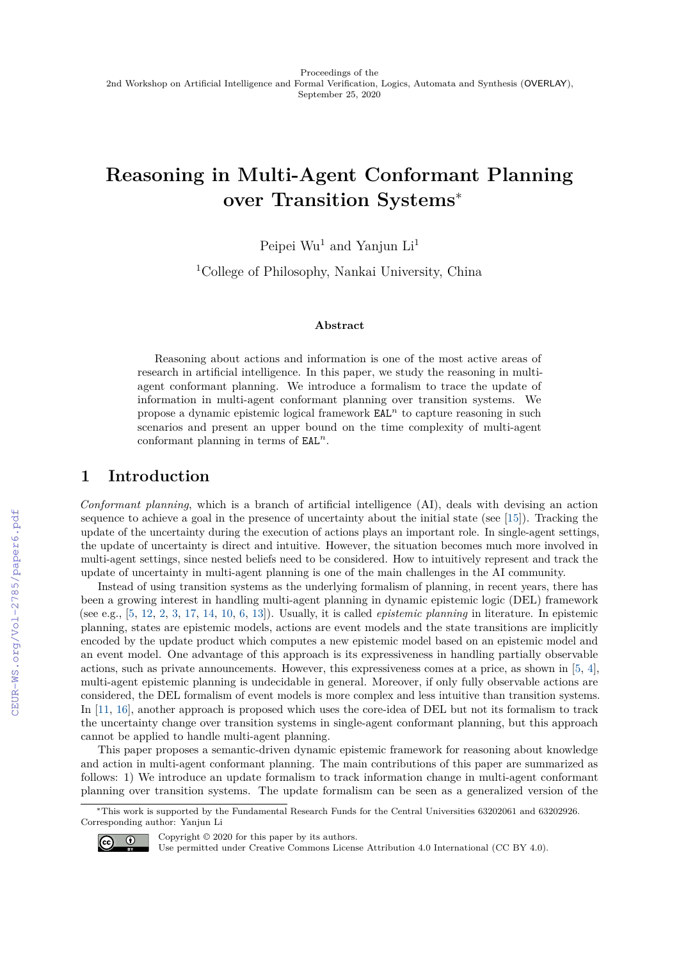# **Reasoning in Multi-Agent Conformant Planning over Transition Systems**<sup>∗</sup>

Peipei  $Wu^1$  and Yanjun  $Li^1$ 

<sup>1</sup>College of Philosophy, Nankai University, China

#### **Abstract**

Reasoning about actions and information is one of the most active areas of research in artificial intelligence. In this paper, we study the reasoning in multiagent conformant planning. We introduce a formalism to trace the update of information in multi-agent conformant planning over transition systems. We propose a dynamic epistemic logical framework EAL*<sup>n</sup>* to capture reasoning in such scenarios and present an upper bound on the time complexity of multi-agent conformant planning in terms of EAL*<sup>n</sup>*.

## **1 Introduction**

*Conformant planning*, which is a branch of artificial intelligence (AI), deals with devising an action sequence to achieve a goal in the presence of uncertainty about the initial state (see [\[15\]](#page--1-0)). Tracking the update of the uncertainty during the execution of actions plays an important role. In single-agent settings, the update of uncertainty is direct and intuitive. However, the situation becomes much more involved in multi-agent settings, since nested beliefs need to be considered. How to intuitively represent and track the update of uncertainty in multi-agent planning is one of the main challenges in the AI community.

Instead of using transition systems as the underlying formalism of planning, in recent years, there has been a growing interest in handling multi-agent planning in dynamic epistemic logic (DEL) framework (see e.g., [\[5,](#page--1-1) [12,](#page--1-2) [2,](#page--1-3) [3,](#page--1-4) [17,](#page--1-5) [14,](#page--1-6) [10,](#page--1-7) [6,](#page--1-8) [13\]](#page--1-9)). Usually, it is called *epistemic planning* in literature. In epistemic planning, states are epistemic models, actions are event models and the state transitions are implicitly encoded by the update product which computes a new epistemic model based on an epistemic model and an event model. One advantage of this approach is its expressiveness in handling partially observable actions, such as private announcements. However, this expressiveness comes at a price, as shown in [\[5,](#page--1-1) [4\]](#page--1-10), multi-agent epistemic planning is undecidable in general. Moreover, if only fully observable actions are considered, the DEL formalism of event models is more complex and less intuitive than transition systems. In [\[11,](#page--1-11) [16\]](#page--1-12), another approach is proposed which uses the core-idea of DEL but not its formalism to track the uncertainty change over transition systems in single-agent conformant planning, but this approach cannot be applied to handle multi-agent planning.

This paper proposes a semantic-driven dynamic epistemic framework for reasoning about knowledge and action in multi-agent conformant planning. The main contributions of this paper are summarized as follows: 1) We introduce an update formalism to track information change in multi-agent conformant planning over transition systems. The update formalism can be seen as a generalized version of the

<sup>∗</sup>This work is supported by the Fundamental Research Funds for the Central Universities 63202061 and 63202926. Corresponding author: Yanjun Li



Copyright © 2020 for this paper by its authors.

Use permitted under Creative Commons License Attribution 4.0 International (CC BY 4.0).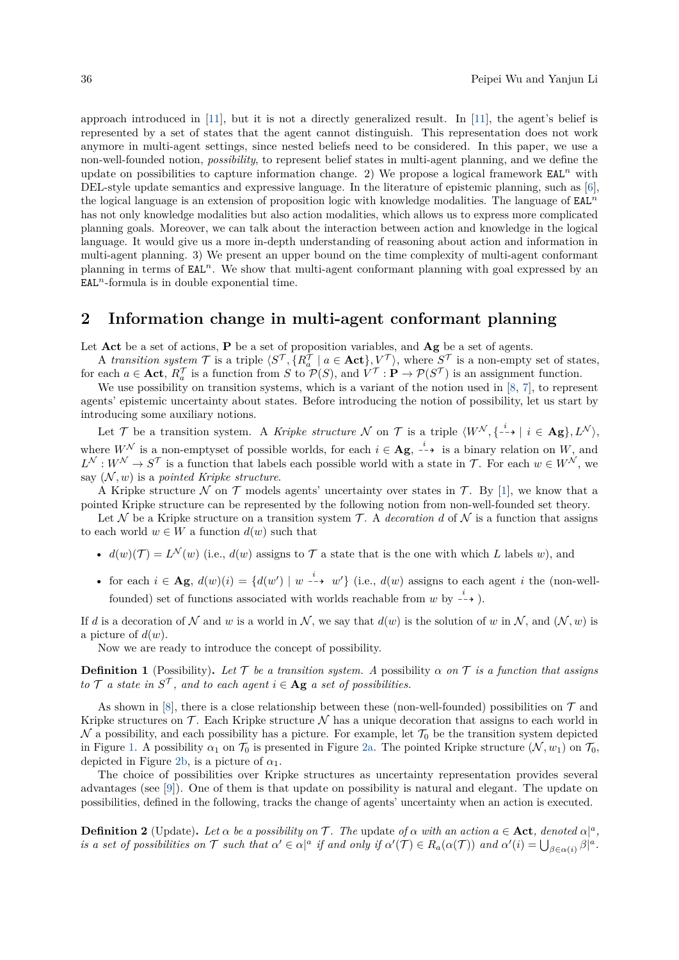approach introduced in [\[11\]](#page-5-0), but it is not a directly generalized result. In [\[11\]](#page-5-0), the agent's belief is represented by a set of states that the agent cannot distinguish. This representation does not work anymore in multi-agent settings, since nested beliefs need to be considered. In this paper, we use a non-well-founded notion, *possibility*, to represent belief states in multi-agent planning, and we define the update on possibilities to capture information change. 2) We propose a logical framework  $EAL<sup>n</sup>$  with DEL-style update semantics and expressive language. In the literature of epistemic planning, such as [\[6\]](#page-5-1), the logical language is an extension of proposition logic with knowledge modalities. The language of EAL*<sup>n</sup>* has not only knowledge modalities but also action modalities, which allows us to express more complicated planning goals. Moreover, we can talk about the interaction between action and knowledge in the logical language. It would give us a more in-depth understanding of reasoning about action and information in multi-agent planning. 3) We present an upper bound on the time complexity of multi-agent conformant planning in terms of EAL*<sup>n</sup>*. We show that multi-agent conformant planning with goal expressed by an  $EAL<sup>n</sup>$ -formula is in double exponential time.

### **2 Information change in multi-agent conformant planning**

Let **Act** be a set of actions, **P** be a set of proposition variables, and **Ag** be a set of agents.

A *transition system*  $\mathcal{T}$  is a triple  $\langle S^{\mathcal{T}}, \{R_a^{\mathcal{T}} \mid a \in \text{Act}\}, V^{\mathcal{T}} \rangle$ , where  $S^{\mathcal{T}}$  is a non-empty set of states, for each  $a \in \text{Act}$ ,  $R_a^{\mathcal{T}}$  is a function from *S* to  $\mathcal{P}(S)$ , and  $V^{\mathcal{T}}: \mathbf{P} \to \mathcal{P}(S^{\mathcal{T}})$  is an assignment function.

We use possibility on transition systems, which is a variant of the notion used in [\[8,](#page-5-2) [7\]](#page-5-3), to represent agents' epistemic uncertainty about states. Before introducing the notion of possibility, let us start by introducing some auxiliary notions.

Let T be a transition system. A *Kripke structure* N on T is a triple  $\langle W^{\mathcal{N}}, \{ -\rightarrow | i \in \mathbf{Ag} \}, L^{\mathcal{N}} \rangle$ , where  $W^{\mathcal{N}}$  is a non-emptyset of possible worlds, for each  $i \in \mathbf{Ag}$ ,  $\stackrel{i}{\dashrightarrow}$  is a binary relation on *W*, and  $L^{\mathcal{N}}: W^{\mathcal{N}} \to S^{\mathcal{T}}$  is a function that labels each possible world with a state in  $\mathcal{T}$ . For each  $w \in W^{\mathcal{N}}$ , we say  $(N, w)$  is a *pointed Kripke structure*.

A Kripke structure N on T models agents' uncertainty over states in T. By [\[1\]](#page-5-4), we know that a pointed Kripke structure can be represented by the following notion from non-well-founded set theory.

Let N be a Kripke structure on a transition system  $\mathcal{T}$ . A *decoration* d of N is a function that assigns to each world  $w \in W$  a function  $d(w)$  such that

- $d(w)(\mathcal{T}) = L^{\mathcal{N}}(w)$  (i.e.,  $d(w)$  assigns to  $\mathcal{T}$  a state that is the one with which *L* labels *w*), and
- for each  $i \in \mathbf{Ag}$ ,  $d(w)(i) = \{d(w') \mid w \stackrel{i}{\dashrightarrow} w'\}$  (i.e.,  $d(w)$  assigns to each agent *i* the (non-wellfounded) set of functions associated with worlds reachable from  $w$  by  $\stackrel{i}{\dashrightarrow}$ ).

If *d* is a decoration of N and *w* is a world in N, we say that  $d(w)$  is the solution of *w* in N, and  $(N, w)$  is a picture of  $d(w)$ .

Now we are ready to introduce the concept of possibility.

**Definition 1** (Possibility). Let  $\mathcal{T}$  be a transition system. A possibility  $\alpha$  on  $\mathcal{T}$  is a function that assigns *to*  $\mathcal{T}$  *a state in*  $S^{\mathcal{T}}$ *, and to each agent*  $i \in \mathbf{Ag}$  *a set of possibilities.* 

As shown in [\[8\]](#page-5-2), there is a close relationship between these (non-well-founded) possibilities on  $\mathcal T$  and Kripke structures on  $\mathcal T$ . Each Kripke structure  $\mathcal N$  has a unique decoration that assigns to each world in  $\mathcal N$  a possibility, and each possibility has a picture. For example, let  $\mathcal T_0$  be the transition system depicted in Figure [1.](#page-2-0) A possibility  $\alpha_1$  on  $\mathcal{T}_0$  is presented in Figure [2a.](#page-2-1) The pointed Kripke structure  $(\mathcal{N}, w_1)$  on  $\mathcal{T}_0$ , depicted in Figure [2b,](#page-2-2) is a picture of  $\alpha_1$ .

The choice of possibilities over Kripke structures as uncertainty representation provides several advantages (see [\[9\]](#page-5-5)). One of them is that update on possibility is natural and elegant. The update on possibilities, defined in the following, tracks the change of agents' uncertainty when an action is executed.

<span id="page-1-0"></span>**Definition 2** (Update). Let  $\alpha$  be a possibility on T. The update of  $\alpha$  with an action  $a \in \text{Act}$ , denoted  $\alpha |^a$ , is a set of possibilities on  $\mathcal T$  such that  $\alpha' \in \alpha|^a$  if and only if  $\alpha'(\mathcal T) \in R_a(\alpha(\mathcal T))$  and  $\alpha'(i) = \bigcup_{\beta \in \alpha(i)} \beta^a$ .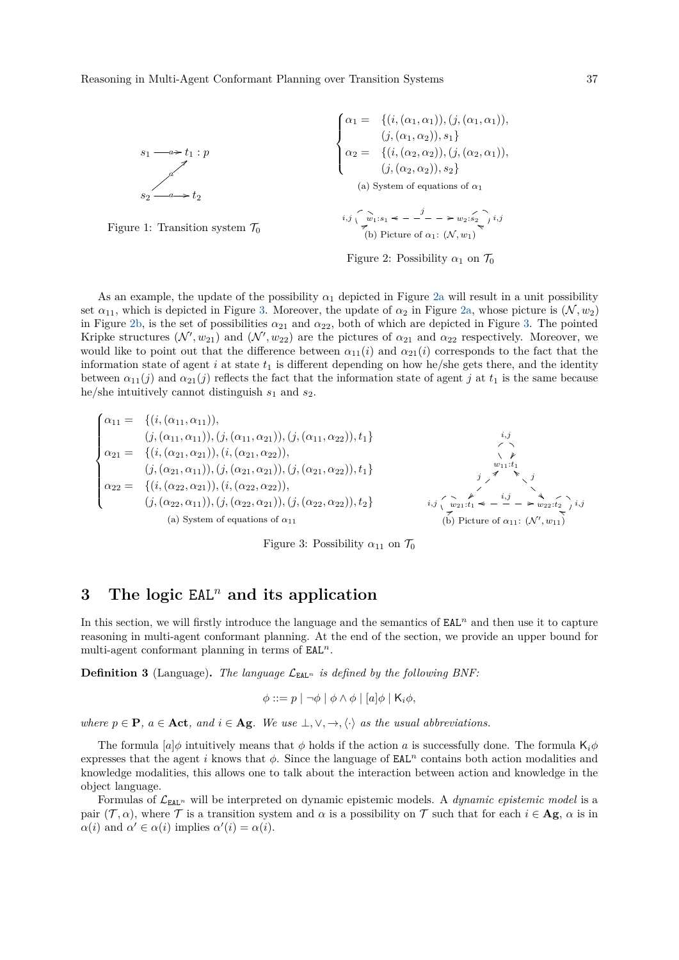<span id="page-2-0"></span>

<span id="page-2-2"></span><span id="page-2-1"></span>Figure 2: Possibility  $\alpha_1$  on  $\mathcal{T}_0$ 

As an example, the update of the possibility  $\alpha_1$  depicted in Figure [2a](#page-2-1) will result in a unit possibility set  $\alpha_{11}$ , which is depicted in Figure [3.](#page-2-3) Moreover, the update of  $\alpha_2$  in Figure [2a,](#page-2-1) whose picture is  $(\mathcal{N}, w_2)$ in Figure [2b,](#page-2-2) is the set of possibilities  $\alpha_{21}$  and  $\alpha_{22}$ , both of which are depicted in Figure [3.](#page-2-3) The pointed Kripke structures  $(\mathcal{N}', w_{21})$  and  $(\mathcal{N}', w_{22})$  are the pictures of  $\alpha_{21}$  and  $\alpha_{22}$  respectively. Moreover, we would like to point out that the difference between  $\alpha_{11}(i)$  and  $\alpha_{21}(i)$  corresponds to the fact that the information state of agent  $i$  at state  $t_1$  is different depending on how he/she gets there, and the identity between  $\alpha_{11}(j)$  and  $\alpha_{21}(j)$  reflects the fact that the information state of agent *j* at  $t_1$  is the same because he/she intuitively cannot distinguish *s*<sup>1</sup> and *s*2.

<span id="page-2-3"></span>
$$
\begin{cases}\n\alpha_{11} = \{ (i, (\alpha_{11}, \alpha_{11})), \\
(j, (\alpha_{11}, \alpha_{11})), (j, (\alpha_{11}, \alpha_{21})), (j, (\alpha_{11}, \alpha_{22})), t_1 \} \\
\alpha_{21} = \{ (i, (\alpha_{21}, \alpha_{21})), (i, (\alpha_{21}, \alpha_{22})), \\
(j, (\alpha_{21}, \alpha_{11})), (j, (\alpha_{21}, \alpha_{21})), (j, (\alpha_{21}, \alpha_{22})), t_1 \} \\
\alpha_{22} = \{ (i, (\alpha_{22}, \alpha_{21})), (i, (\alpha_{22}, \alpha_{22})), \\
(j, (\alpha_{22}, \alpha_{11})), (j, (\alpha_{22}, \alpha_{21})), (j, (\alpha_{22}, \alpha_{22})), t_2 \} \\
\alpha_{3} \text{ System of equations of } \alpha_{11}\n\end{cases}
$$
\n
$$
\begin{cases}\n\alpha_{11} = \{ (i, (\alpha_{11}, \alpha_{11})), (j, (\alpha_{21}, \alpha_{21})), (j, (\alpha_{21}, \alpha_{22})), t_1 \} \\
\vdots \\
\alpha_{m1} \cdot t_1 = \{ (i, (\alpha_{21}, \alpha_{11})), (i, (\alpha_{22}, \alpha_{21})), (j, (\alpha_{22}, \alpha_{22})), t_2 \} \\
\vdots \\
\alpha_{m1} \cdot t_1 = \{ (i, (\alpha_{21}, \alpha_{11})), (i, (\alpha_{22}, \alpha_{21})), (i, (\alpha_{22}, \alpha_{22})), t_1 \} \\
\vdots \\
\alpha_{m1} \cdot t_1 = \{ (i, (\alpha_{21}, \alpha_{11})), (i, (\alpha_{21}, \alpha_{21})), (i, (\alpha_{22}, \alpha_{22})), t_1 \} \\
\vdots \\
\alpha_{m1} \cdot t_1 = \{ (i, (\alpha_{21}, \alpha_{11})), (i, (\alpha_{21}, \alpha_{21})), (i, (\alpha_{22}, \alpha_{22})), t_1 \} \\
\vdots \\
\alpha_{m1} \cdot t_1 = \{ (i, (\alpha_{21}, \alpha_{11})), (i, (\alpha_{21}, \alpha_{21})), (i, (\alpha_{22}, \alpha_{21})), (i, (\alpha_{22}, \alpha_{22})), t_1 \} \\
\vdots \\
\alpha_{
$$

Figure 3: Possibility  $\alpha_{11}$  on  $\mathcal{T}_0$ 

## **3 The logic** EAL*<sup>n</sup>* **and its application**

In this section, we will firstly introduce the language and the semantics of  $EAL<sup>n</sup>$  and then use it to capture reasoning in multi-agent conformant planning. At the end of the section, we provide an upper bound for multi-agent conformant planning in terms of EAL*<sup>n</sup>*.

**Definition 3** (Language). The language  $\mathcal{L}_{\text{EAL}}$  *is defined by the following BNF:* 

$$
\phi ::= p | \neg \phi | \phi \land \phi | [a] \phi | \mathsf{K}_i \phi,
$$

*where*  $p \in \mathbf{P}$ *,*  $a \in \textbf{Act}$ *, and*  $i \in \textbf{Ag}$ *. We use*  $\perp, \vee, \rightarrow, \langle \cdot \rangle$  *as the usual abbreviations.* 

The formula [*a*]*φ* intuitively means that *φ* holds if the action *a* is successfully done. The formula K*iφ* expresses that the agent *i* knows that  $\phi$ . Since the language of **EAL**<sup>n</sup> contains both action modalities and knowledge modalities, this allows one to talk about the interaction between action and knowledge in the object language.

Formulas of  $\mathcal{L}_{\text{EAL}^n}$  will be interpreted on dynamic epistemic models. A *dynamic epistemic model* is a pair  $(\mathcal{T}, \alpha)$ , where  $\mathcal{T}$  is a transition system and  $\alpha$  is a possibility on  $\mathcal{T}$  such that for each  $i \in \mathbf{Ag}$ ,  $\alpha$  is in  $\alpha(i)$  and  $\alpha' \in \alpha(i)$  implies  $\alpha'(i) = \alpha(i)$ .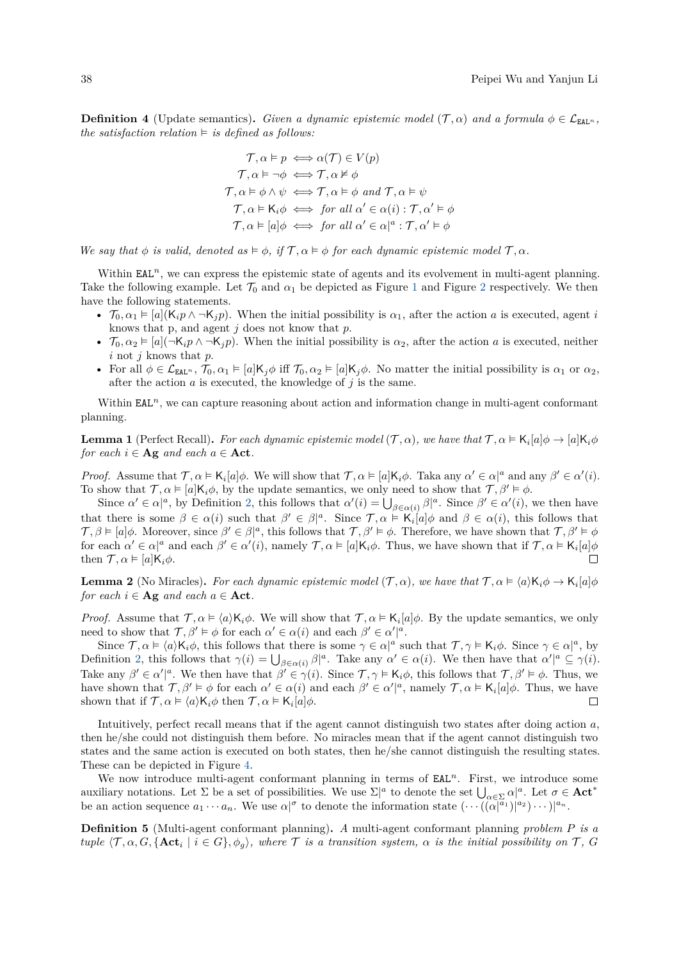**Definition 4** (Update semantics). *Given a dynamic epistemic model* ( $\mathcal{T}, \alpha$ ) *and a formula*  $\phi \in \mathcal{L}_{\text{EAL}^n}$ , *the satisfaction relation*  $\models$  *is defined as follows:* 

$$
\begin{aligned}\n\mathcal{T}, \alpha \vDash p &\iff \alpha(\mathcal{T}) \in V(p) \\
\mathcal{T}, \alpha \vDash \neg \phi \iff \mathcal{T}, \alpha \nvDash \phi \\
\mathcal{T}, \alpha \vDash \phi \land \psi \iff \mathcal{T}, \alpha \vDash \phi \text{ and } \mathcal{T}, \alpha \vDash \psi \\
\mathcal{T}, \alpha \vDash \mathsf{K}_i \phi \iff \text{for all } \alpha' \in \alpha(i) : \mathcal{T}, \alpha' \vDash \phi \\
\mathcal{T}, \alpha \vDash [a] \phi \iff \text{for all } \alpha' \in \alpha]^a : \mathcal{T}, \alpha' \vDash \phi\n\end{aligned}
$$

*We say that*  $\phi$  *is valid, denoted as*  $\models \phi$ , *if*  $\mathcal{T}, \alpha \models \phi$  *for each dynamic epistemic model*  $\mathcal{T}, \alpha$ *.* 

Within  $EAL<sup>n</sup>$ , we can express the epistemic state of agents and its evolvement in multi-agent planning. Take the following example. Let  $\mathcal{T}_0$  and  $\alpha_1$  $\alpha_1$  be depicted as Figure 1 and Figure [2](#page-2-0) respectively. We then have the following statements.

- $\mathcal{T}_0, \alpha_1 \models [a](\mathsf{K}_i p \land \neg \mathsf{K}_j p)$ . When the initial possibility is  $\alpha_1$ , after the action *a* is executed, agent *i* knows that p, and agent *j* does not know that *p*.
- $\mathcal{T}_0, \alpha_2 \models [a](\neg \mathsf{K}_i p \land \neg \mathsf{K}_j p)$ . When the initial possibility is  $\alpha_2$ , after the action *a* is executed, neither *i* not *j* knows that *p*.
- For all  $\phi \in \mathcal{L}_{\text{EAL}^n}$ ,  $\mathcal{T}_0, \alpha_1 \models [a] \mathsf{K}_j \phi$  iff  $\mathcal{T}_0, \alpha_2 \models [a] \mathsf{K}_j \phi$ . No matter the initial possibility is  $\alpha_1$  or  $\alpha_2$ , after the action  $a$  is executed, the knowledge of  $j$  is the same.

Within EAL<sup>n</sup>, we can capture reasoning about action and information change in multi-agent conformant planning.

**Lemma 1** (Perfect Recall). *For each dynamic epistemic model*  $(\mathcal{T}, \alpha)$ *, we have that*  $\mathcal{T}, \alpha \models \mathsf{K}_i[a]\phi \rightarrow [a]\mathsf{K}_i\phi$ *for each*  $i \in \mathbf{Ag}$  *and each*  $a \in \mathbf{Act}$ *.* 

*Proof.* Assume that  $\mathcal{T}, \alpha \models \mathsf{K}_i[a]\phi$ . We will show that  $\mathcal{T}, \alpha \models [a]\mathsf{K}_i\phi$ . Taka any  $\alpha' \in \alpha|^a$  and any  $\beta' \in \alpha'(i)$ . To show that  $\mathcal{T}, \alpha \models [a]K_i\phi$ , by the update semantics, we only need to show that  $\mathcal{T}, \beta' \models \phi$ .

Since  $\alpha' \in \alpha|^a$ , by Definition [2,](#page-1-0) this follows that  $\alpha'(i) = \bigcup_{\beta \in \alpha(i)} \beta^a$ . Since  $\beta' \in \alpha'(i)$ , we then have that there is some  $\beta \in \alpha(i)$  such that  $\beta' \in \beta]^a$ . Since  $\mathcal{T}, \alpha \models \mathsf{K}_i[a]\phi$  and  $\beta \in \alpha(i)$ , this follows that  $\mathcal{T}, \beta \models [a]\phi$ . Moreover, since  $\beta' \in \beta]^a$ , this follows that  $\mathcal{T}, \beta' \models \phi$ . Therefore, we have shown that  $\mathcal{T}, \beta' \models \phi$ for each  $\alpha' \in \alpha|^a$  and each  $\beta' \in \alpha'(i)$ , namely  $\mathcal{T}, \alpha \models [a]K_i\phi$ . Thus, we have shown that if  $\mathcal{T}, \alpha \models K_i[a]\phi$ then  $\mathcal{T}, \alpha \models [a]K_i\phi$ .  $\Box$ 

**Lemma 2** (No Miracles). For each dynamic epistemic model  $(\mathcal{T}, \alpha)$ , we have that  $\mathcal{T}, \alpha \models \langle a \rangle \mathsf{K}_i \phi \rightarrow \mathsf{K}_i[a] \phi$ *for each*  $i \in \mathbf{Ag}$  *and each*  $a \in \mathbf{Act}$ *.* 

*Proof.* Assume that  $\mathcal{T}, \alpha \models \langle a \rangle \mathsf{K}_i \phi$ . We will show that  $\mathcal{T}, \alpha \models \mathsf{K}_i[a] \phi$ . By the update semantics, we only need to show that  $\mathcal{T}, \beta' \models \phi$  for each  $\alpha' \in \alpha(i)$  and each  $\beta' \in \alpha'|^{\alpha}$ .

Since  $\mathcal{T}, \alpha \models \langle a \rangle \mathsf{K}_i \phi$ , this follows that there is some  $\gamma \in \alpha|^a$  such that  $\mathcal{T}, \gamma \models \mathsf{K}_i \phi$ . Since  $\gamma \in \alpha|^a$ , by Definition [2,](#page-1-0) this follows that  $\gamma(i) = \bigcup_{\beta \in \alpha(i)} \beta^{|a|}$ . Take any  $\alpha' \in \alpha(i)$ . We then have that  $\alpha'|^a \subseteq \gamma(i)$ . Take any  $\beta' \in \alpha'|^a$ . We then have that  $\beta' \in \gamma(i)$ . Since  $\mathcal{T}, \gamma \models \mathsf{K}_i \phi$ , this follows that  $\mathcal{T}, \beta' \models \phi$ . Thus, we have shown that  $\mathcal{T}, \beta' \models \phi$  for each  $\alpha' \in \alpha(i)$  and each  $\beta' \in \alpha'|^a$ , namely  $\mathcal{T}, \alpha \models \mathsf{K}_i[a]\phi$ . Thus, we have shown that if  $\mathcal{T}, \alpha \models \langle a \rangle \mathsf{K}_i \phi$  then  $\mathcal{T}, \alpha \models \mathsf{K}_i[a] \phi$ .  $\Box$ 

Intuitively, perfect recall means that if the agent cannot distinguish two states after doing action *a*, then he/she could not distinguish them before. No miracles mean that if the agent cannot distinguish two states and the same action is executed on both states, then he/she cannot distinguish the resulting states. These can be depicted in Figure [4.](#page-4-0)

We now introduce multi-agent conformant planning in terms of  $EAL<sup>n</sup>$ . First, we introduce some auxiliary notations. Let  $\Sigma$  be a set of possibilities. We use  $\Sigma|^a$  to denote the set  $\bigcup_{\alpha \in \Sigma} \alpha|^a$ . Let  $\sigma \in \mathbf{Act}^*$ be an action sequence  $a_1 \cdots a_n$ . We use  $\alpha|^{\sigma}$  to denote the information state  $(\cdots((\alpha|^{a_1})|^{a_2})\cdots)|^{a_n}$ .

**Definition 5** (Multi-agent conformant planning)**.** *A* multi-agent conformant planning *problem P is a tuple*  $\langle \mathcal{T}, \alpha, G, \{\mathbf{Act}_i \mid i \in G\}, \phi_g \rangle$ , where  $\mathcal{T}$  *is a transition system,*  $\alpha$  *is the initial possibility on*  $\mathcal{T}$ ,  $G$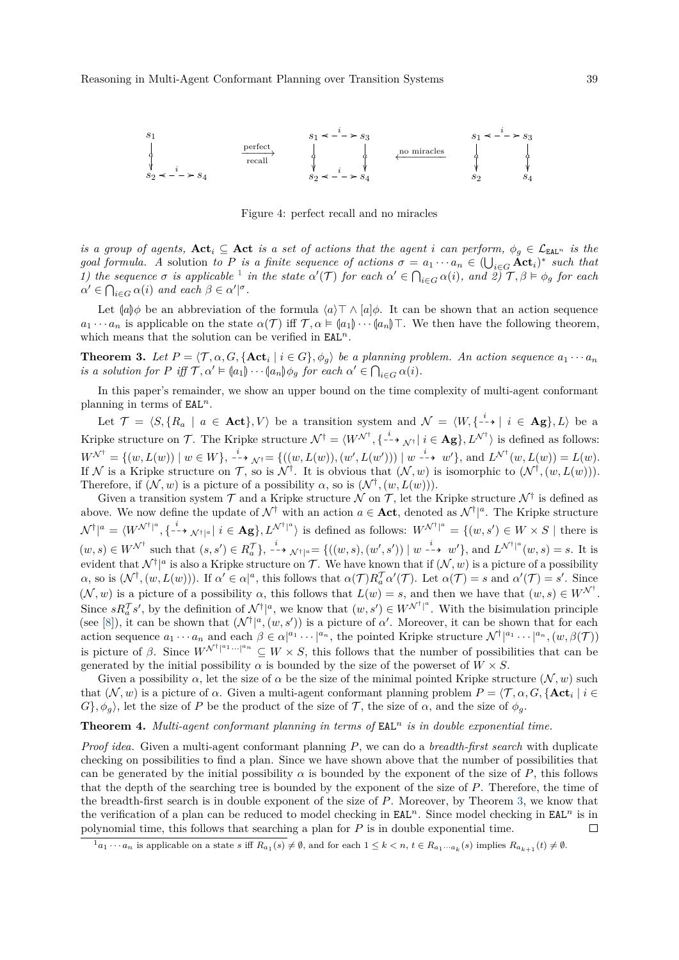<span id="page-4-0"></span>

Figure 4: perfect recall and no miracles

*is a group of agents,*  $\text{Act}_i$  ⊆  $\text{Act}$  *is a set of actions that the agent <i>i can perform,*  $\phi_q$  ∈  $\mathcal{L}_{\text{EAL}^n}$  *is the goal formula.* A solution to P is a finite sequence of actions  $\sigma = a_1 \cdots a_n \in (\bigcup_{i \in G} \textbf{Act}_i)^*$  such that *[1](#page-4-1))* the sequence  $\sigma$  is applicable <sup>1</sup> in the state  $\alpha'(\mathcal{T})$  for each  $\alpha' \in \bigcap_{i \in G} \alpha(i)$ , and  $\widehat{z}(\mathcal{T}, \beta) \models \phi_g$  for each  $\alpha' \in \bigcap_{i \in G} \alpha(i)$  *and each*  $\beta \in \alpha'$ <sup> $\mid \sigma$ </sup>.

Let  $(a)\phi$  be an abbreviation of the formula  $\langle a \rangle \top \wedge [a]\phi$ . It can be shown that an action sequence *a*<sub>1</sub> · · · *a<sub>n</sub>* is applicable on the state  $\alpha(\mathcal{T})$  iff  $\mathcal{T}, \alpha \models (a_1) \cdots (a_n) \top$ . We then have the following theorem, which means that the solution can be verified in EAL*n*.

<span id="page-4-2"></span>**Theorem 3.** Let  $P = \langle \mathcal{T}, \alpha, G, \{\mathbf{Act}_i \mid i \in G\}, \phi_g \rangle$  be a planning problem. An action sequence  $a_1 \cdots a_n$ *is a solution for P iff*  $\mathcal{T}, \alpha' \models (a_1) \cdots (a_n) \phi_g$  *for each*  $\alpha' \in \bigcap_{i \in G} \alpha(i)$ *.* 

In this paper's remainder, we show an upper bound on the time complexity of multi-agent conformant planning in terms of EAL*<sup>n</sup>*.

Let  $\mathcal{T} = \langle S, \{R_a \mid a \in \textbf{Act}\}, V \rangle$  be a transition system and  $\mathcal{N} = \langle W, \{-\cdot\} \mid i \in \textbf{Ag}\}, L \rangle$  be a Kripke structure on  $\mathcal{T}$ . The Kripke structure  $\mathcal{N}^{\dagger} = \langle W^{\mathcal{N}^{\dagger}}, \{\begin{smallmatrix}i & \to & \mathcal{N}^{\dagger} \end{smallmatrix} \mid i \in \mathbf{Ag}\}, L^{\mathcal{N}^{\dagger}}\rangle$  is defined as follows:  $W^{\mathcal{N}^{\dagger}} = \{(w, L(w)) \mid w \in W\}, \xrightarrow{i} \mathcal{N}^{\dagger} = \{((w, L(w)), (w', L(w'))) \mid w \xrightarrow{i} w'\}, \text{ and } L^{\mathcal{N}^{\dagger}}(w, L(w)) = L(w).$ If N is a Kripke structure on T, so is  $\mathcal{N}^{\dagger}$ . It is obvious that  $(\mathcal{N}, w)$  is isomorphic to  $(\mathcal{N}^{\dagger}, (w, L(w)))$ . Therefore, if  $(N, w)$  is a picture of a possibility  $\alpha$ , so is  $(N^{\dagger}, (w, L(w)))$ .

Given a transition system  $\mathcal T$  and a Kripke structure  $\mathcal N$  on  $\mathcal T$ , let the Kripke structure  $\mathcal N^\dagger$  is defined as above. We now define the update of  $\mathcal{N}^{\dagger}$  with an action  $a \in \textbf{Act}$ , denoted as  $\mathcal{N}^{\dagger}|^a$ . The Kripke structure  $\mathcal{N}^{\dagger} |^{a} = \langle W^{\mathcal{N}^{\dagger}} |^{a}, \{ \left( \frac{i}{2} + \mathcal{N}^{\dagger} |^{a} \right) \in \mathbf{Ag} \}, L^{\mathcal{N}^{\dagger} |^{a}} \rangle$  is defined as follows:  $W^{\mathcal{N}^{\dagger} |^{a}} = \{ (w, s') \in W \times S \mid \text{there is } \mathcal{N} \in \mathcal{N} \times \mathcal{N} \}$  $(w, s) \in W^{\mathcal{N}^{\dagger}}$  such that  $(s, s') \in R_a^{\mathcal{T}}\}$ ,  $\xrightarrow{i}$   $\mathcal{N}^{\dagger}$  = { $((w, s), (w', s')) | w \xrightarrow{i} w'\}$ , and  $L^{\mathcal{N}^{\dagger}|^a}(w, s) = s$ . It is evident that  $\mathcal{N}^{\dagger}|^a$  is also a Kripke structure on  $\mathcal{T}$ . We have known that if  $(\mathcal{N}, w)$  is a picture of a possibility  $\alpha$ , so is  $(\mathcal{N}^{\dagger}, (w, L(w)))$ . If  $\alpha' \in \alpha|^a$ , this follows that  $\alpha(\mathcal{T})R_a^{\mathcal{T}} \alpha'(\mathcal{T})$ . Let  $\alpha(\mathcal{T}) = s$  and  $\alpha'(\mathcal{T}) = s'$ . Since  $(\mathcal{N}, w)$  is a picture of a possibility  $\alpha$ , this follows that  $L(w) = s$ , and then we have that  $(w, s) \in W^{\mathcal{N}^{\dagger}}$ . Since  $sR_a^{\mathcal{T}}s'$ , by the definition of  $\mathcal{N}^{\dagger}|^a$ , we know that  $(w, s') \in W^{\mathcal{N}^{\dagger}|^a}$ . With the bisimulation principle (see [\[8\]](#page-5-2)), it can be shown that  $(\mathcal{N}^{\dagger}|^a,(w,s'))$  is a picture of  $\alpha'$ . Moreover, it can be shown that for each action sequence  $a_1 \cdots a_n$  and each  $\beta \in \alpha^{a_1} \cdots^{a_n}$ , the pointed Kripke structure  $\mathcal{N}^{\dagger|a_1} \cdots^{a_n}$ ,  $(w, \beta(\mathcal{T}))$ is picture of *β*. Since  $W^{\mathcal{N}^{\dagger}|^{a_1} \cdots |^{a_n}} \subseteq W \times S$ , this follows that the number of possibilities that can be generated by the initial possibility  $\alpha$  is bounded by the size of the powerset of  $W \times S$ .

Given a possibility  $\alpha$ , let the size of  $\alpha$  be the size of the minimal pointed Kripke structure  $(\mathcal{N}, w)$  such that  $(N, w)$  is a picture of  $\alpha$ . Given a multi-agent conformant planning problem  $P = \langle \mathcal{T}, \alpha, G, \{\textbf{Act}_i \mid i \in I\}$  $G$ *}*,  $\phi_g$ *)*, let the size of *P* be the product of the size of  $\mathcal{T}$ , the size of  $\alpha$ , and the size of  $\phi_g$ .

#### **Theorem 4.** *Multi-agent conformant planning in terms of* EAL*<sup>n</sup> is in double exponential time.*

*Proof idea.* Given a multi-agent conformant planning *P*, we can do a *breadth-first search* with duplicate checking on possibilities to find a plan. Since we have shown above that the number of possibilities that can be generated by the initial possibility  $\alpha$  is bounded by the exponent of the size of  $P$ , this follows that the depth of the searching tree is bounded by the exponent of the size of *P*. Therefore, the time of the breadth-first search is in double exponent of the size of *P*. Moreover, by Theorem [3,](#page-4-2) we know that the verification of a plan can be reduced to model checking in  $EAL<sup>n</sup>$ . Since model checking in  $EAL<sup>n</sup>$  is in polynomial time, this follows that searching a plan for *P* is in double exponential time.  $\Box$ 

<span id="page-4-1"></span> $1_{a_1 \cdots a_n}$  is applicable on a state s iff  $R_{a_1}(s) \neq \emptyset$ , and for each  $1 \leq k < n$ ,  $t \in R_{a_1 \cdots a_k}(s)$  implies  $R_{a_{k+1}}(t) \neq \emptyset$ .